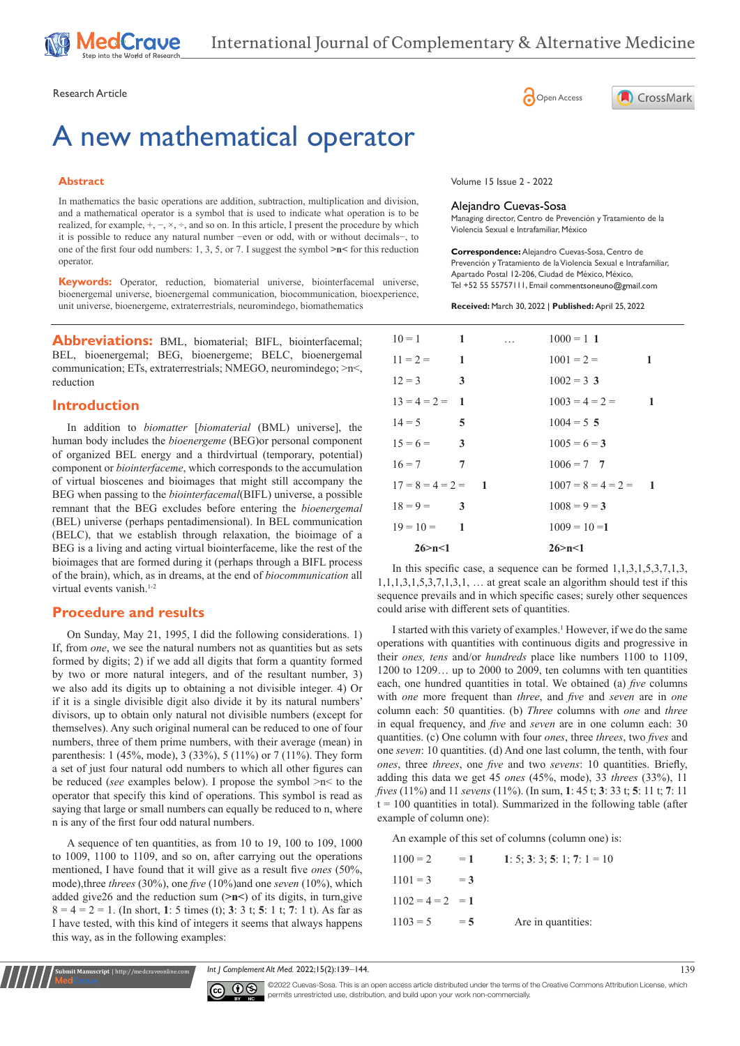# A new mathematical operator

## **Abstract**

In mathematics the basic operations are addition, subtraction, multiplication and division, and a mathematical operator is a symbol that is used to indicate what operation is to be realized, for example,  $+$ ,  $-$ ,  $\times$ ,  $\div$ , and so on. In this article, I present the procedure by which it is possible to reduce any natural number −even or odd, with or without decimals−, to one of the first four odd numbers: 1, 3, 5, or 7. I suggest the symbol **>n<** for this reduction operator.

**Keywords:** Operator, reduction, biomaterial universe, biointerfacemal universe, bioenergemal universe, bioenergemal communication, biocommunication, bioexperience, unit universe, bioenergeme, extraterrestrials, neuromindego, biomathematics

**Abbreviations:** BML, biomaterial; BIFL, biointerfacemal; BEL, bioenergemal; BEG, bioenergeme; BELC, bioenergemal communication; ETs, extraterrestrials; NMEGO, neuromindego; >n<, reduction

# **Introduction**

In addition to *biomatter* [*biomaterial* (BML) universe], the human body includes the *bioenergeme* (BEG)or personal component of organized BEL energy and a thirdvirtual (temporary, potential) component or *biointerfaceme*, which corresponds to the accumulation of virtual bioscenes and bioimages that might still accompany the BEG when passing to the *biointerfacemal*(BIFL) universe, a possible remnant that the BEG excludes before entering the *bioenergemal* (BEL) universe (perhaps pentadimensional). In BEL communication (BELC), that we establish through relaxation, the bioimage of a BEG is a living and acting virtual biointerfaceme, like the rest of the bioimages that are formed during it (perhaps through a BIFL process of the brain), which, as in dreams, at the end of *biocommunication* all virtual events vanish.<sup>1-2</sup>

## **Procedure and results**

**Submit Manuscript** | http://medcraveonline.com

On Sunday, May 21, 1995, I did the following considerations. 1) If, from *one*, we see the natural numbers not as quantities but as sets formed by digits; 2) if we add all digits that form a quantity formed by two or more natural integers, and of the resultant number, 3) we also add its digits up to obtaining a not divisible integer. 4) Or if it is a single divisible digit also divide it by its natural numbers' divisors, up to obtain only natural not divisible numbers (except for themselves). Any such original numeral can be reduced to one of four numbers, three of them prime numbers, with their average (mean) in parenthesis: 1 (45%, mode), 3 (33%), 5 (11%) or 7 (11%). They form a set of just four natural odd numbers to which all other figures can be reduced (*see* examples below). I propose the symbol >n< to the operator that specify this kind of operations. This symbol is read as saying that large or small numbers can equally be reduced to n, where n is any of the first four odd natural numbers.

A sequence of ten quantities, as from 10 to 19, 100 to 109, 1000 to 1009, 1100 to 1109, and so on, after carrying out the operations mentioned, I have found that it will give as a result five *ones* (50%, mode),three *threes* (30%), one *five* (10%)and one *seven* (10%), which added give26 and the reduction sum (**>n<**) of its digits, in turn,give 8 = 4 = 2 = 1. (In short, **1**: 5 times (t); **3**: 3 t; **5**: 1 t; **7**: 1 t). As far as I have tested, with this kind of integers it seems that always happens this way, as in the following examples:





Volume 15 Issue 2 - 2022

#### Alejandro Cuevas-Sosa

Managing director, Centro de Prevención y Tratamiento de la Violencia Sexual e Intrafamiliar, México

**Correspondence:** Alejandro Cuevas-Sosa, Centro de Prevención y Tratamiento de la Violencia Sexual e Intrafamiliar, Apartado Postal 12-206, Ciudad de México, México, Tel +52 55 55757111, Email commentsoneuno@gmail.com

**Received:** March 30, 2022 | **Published:** April 25, 2022

| $10 = 1$ 1             |  | <b>Contractor</b> Contractor | $1000 = 1$ 1           |                  |
|------------------------|--|------------------------------|------------------------|------------------|
| $11 = 2 = 1$           |  |                              | $1001 = 2 =$           | 1                |
| $12 = 3$ 3             |  |                              | $1002 = 3$ 3           |                  |
| $13 = 4 = 2 = 1$       |  |                              | $1003 = 4 = 2 =$       | $\blacksquare$ 1 |
| $\sqrt{5}$<br>$14 = 5$ |  |                              | $1004 = 5$ 5           |                  |
| $15 = 6 =$ 3           |  |                              | $1005 = 6 = 3$         |                  |
| $16 = 7$ 7             |  |                              | $1006 = 7$ 7           |                  |
| $17 = 8 = 4 = 2 = 1$   |  |                              | $1007 = 8 = 4 = 2 = 1$ |                  |
| $18 = 9 = 3$           |  |                              | $1008 = 9 = 3$         |                  |
| $19 = 10 =$ 1          |  |                              | $1009 = 10 = 1$        |                  |
| 26 > n < 1             |  |                              | 26 > n < 1             |                  |

In this specific case, a sequence can be formed 1,1,3,1,5,3,7,1,3,  $1,1,1,3,1,5,3,7,1,3,1, \ldots$  at great scale an algorithm should test if this sequence prevails and in which specific cases; surely other sequences could arise with different sets of quantities.

I started with this variety of examples.<sup>1</sup> However, if we do the same operations with quantities with continuous digits and progressive in their *ones, tens* and/or *hundreds* place like numbers 1100 to 1109, 1200 to 1209… up to 2000 to 2009, ten columns with ten quantities each, one hundred quantities in total. We obtained (a) *five* columns with *one* more frequent than *three*, and *five* and *seven* are in *one* column each: 50 quantities. (b) *Three* columns with *one* and *three* in equal frequency, and *five* and *seven* are in one column each: 30 quantities. (c) One column with four *ones*, three *threes*, two *fives* and one *seven*: 10 quantities. (d) And one last column, the tenth, with four *ones*, three *threes*, one *five* and two *sevens*: 10 quantities. Briefly, adding this data we get 45 *ones* (45%, mode), 33 *threes* (33%), 11 *fives* (11%) and 11 *sevens* (11%). (In sum, **1**: 45 t; **3**: 33 t; **5**: 11 t; **7**: 11  $t = 100$  quantities in total). Summarized in the following table (after example of column one):

An example of this set of columns (column one) is:

| $1100 = 2$         | $= 1$ | 1: 5: 3: 3: 5: 1: 7: $1 = 10$ |
|--------------------|-------|-------------------------------|
| $1101 = 3$         | $=$ 3 |                               |
| $1102 = 4 = 2 = 1$ |       |                               |
| $1103 = 5$         | $=5$  | Are in quantities:            |

*Int J Complement Alt Med.* 2022;15(2):139–144. 139



©2022 Cuevas-Sosa. This is an open access article distributed under the terms of the [Creative Commons Attribution License,](https://creativecommons.org/licenses/by-nc/4.0/) which permits unrestricted use, distribution, and build upon your work non-commercially.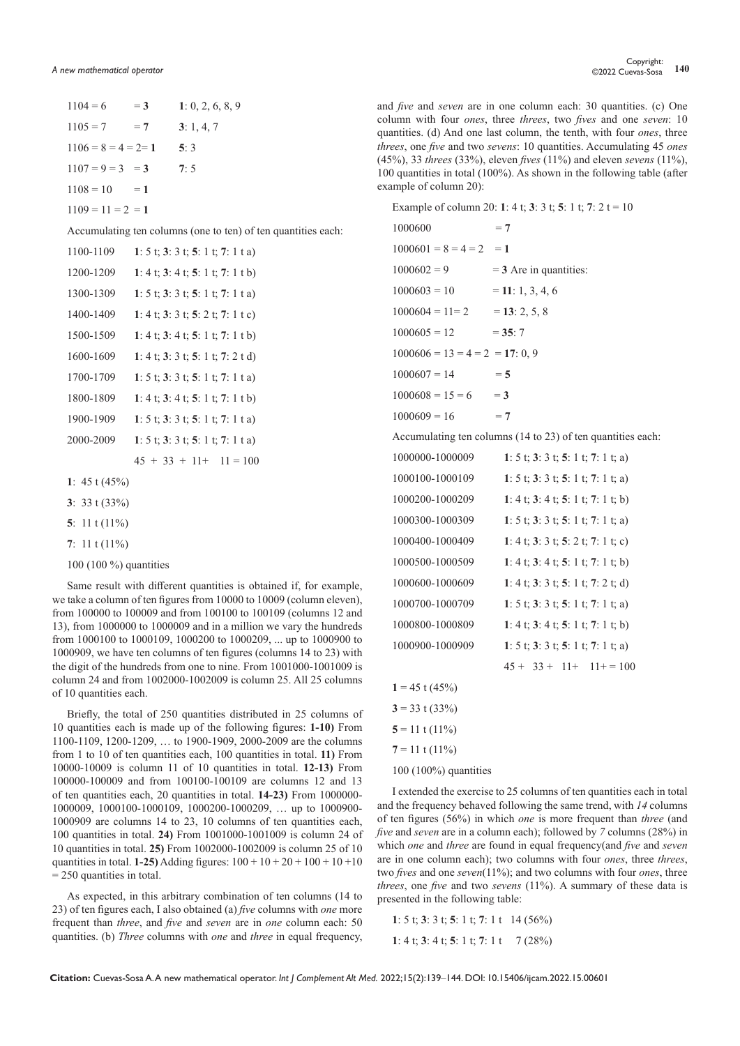| $1104 = 6 = 3$         | 1: 0, 2, 6, 8, 9                                              |
|------------------------|---------------------------------------------------------------|
| $1105 = 7 = 7$         | 3: 1, 4, 7                                                    |
| $1106 = 8 = 4 = 2 = 1$ | 5:3                                                           |
| $1107 = 9 = 3 = 3$     | 7:5                                                           |
| $1108 = 10 = 1$        |                                                               |
| $1109 = 11 = 2 = 1$    |                                                               |
|                        | Accumulating ten columns (one to ten) of ten quantities each: |
| 1100-1109              | 1: 5 t; 3: 3 t; 5: 1 t; 7: 1 t a)                             |
| 1200-1209              | 1: 4 t; 3: 4 t; 5: 1 t; 7: 1 t b)                             |
| 1300-1309              | 1: 5 t; 3: 3 t; 5: 1 t; 7: 1 t a)                             |
| 1400-1409              | 1: 4 t; 3: 3 t; 5: 2 t; 7: 1 t c)                             |
| 1500-1509              | 1: 4 t; 3: 4 t; 5: 1 t; 7: 1 t b)                             |
| 1600-1609              | 1: 4 t; 3: 3 t; 5: 1 t; 7: 2 t d)                             |
| 1700-1709              | 1: 5 t; 3: 3 t; 5: 1 t; 7: 1 t a)                             |
| 1800-1809              | 1: 4 t; 3: 4 t; 5: 1 t; 7: 1 t b)                             |
| 1900-1909              | 1: 5 t; 3: 3 t; 5: 1 t; 7: 1 t a)                             |
| 2000-2009              | 1: 5 t; 3: 3 t; 5: 1 t; 7: 1 t a)                             |
|                        | $45 + 33 + 11 + 11 = 100$                                     |
|                        |                                                               |

- **1**: 45 t (45%)
- **3**: 33 t (33%)
- **5**: 11 t (11%)
- **7**: 11 t (11%)
- 100 (100 %) quantities

Same result with different quantities is obtained if, for example, we take a column of ten figures from 10000 to 10009 (column eleven), from 100000 to 100009 and from 100100 to 100109 (columns 12 and 13), from 1000000 to 1000009 and in a million we vary the hundreds from 1000100 to 1000109, 1000200 to 1000209, ... up to 1000900 to 1000909, we have ten columns of ten figures (columns 14 to 23) with the digit of the hundreds from one to nine. From 1001000-1001009 is column 24 and from 1002000-1002009 is column 25. All 25 columns of 10 quantities each.

Briefly, the total of 250 quantities distributed in 25 columns of 10 quantities each is made up of the following figures: **1-10)** From 1100-1109, 1200-1209, … to 1900-1909, 2000-2009 are the columns from 1 to 10 of ten quantities each, 100 quantities in total. **11)** From 10000-10009 is column 11 of 10 quantities in total. **12-13)** From 100000-100009 and from 100100-100109 are columns 12 and 13 of ten quantities each, 20 quantities in total. **14-23)** From 1000000- 1000009, 1000100-1000109, 1000200-1000209, … up to 1000900- 1000909 are columns 14 to 23, 10 columns of ten quantities each, 100 quantities in total. **24)** From 1001000-1001009 is column 24 of 10 quantities in total. **25)** From 1002000-1002009 is column 25 of 10 quantities in total. **1-25**) Adding figures:  $100 + 10 + 20 + 100 + 10 + 10$  $= 250$  quantities in total.

As expected, in this arbitrary combination of ten columns (14 to 23) of ten figures each, I also obtained (a) *five* columns with *one* more frequent than *three*, and *five* and *seven* are in *one* column each: 50 quantities. (b) *Three* columns with *one* and *three* in equal frequency,

and *five* and *seven* are in one column each: 30 quantities. (c) One column with four *ones*, three *threes*, two *fives* and one *seven*: 10 quantities. (d) And one last column, the tenth, with four *ones*, three *threes*, one *five* and two *sevens*: 10 quantities. Accumulating 45 *ones* (45%), 33 *threes* (33%), eleven *fives* (11%) and eleven *sevens* (11%), 100 quantities in total (100%). As shown in the following table (after example of column 20):

Example of column 20: **1**: 4 t; **3**: 3 t; **5**: 1 t; **7**: 2 t = 10

| 1000600                              | $=7$                                                        |
|--------------------------------------|-------------------------------------------------------------|
| $1000601 = 8 = 4 = 2 = 1$            |                                                             |
| $1000602 = 9$ = 3 Are in quantities: |                                                             |
| $1000603 = 10$                       | $= 11: 1, 3, 4, 6$                                          |
| $1000604 = 11 = 2$ = 13: 2, 5, 8     |                                                             |
| $1000605 = 12$                       | $= 35:7$                                                    |
| $1000606 = 13 = 4 = 2 = 17: 0, 9$    |                                                             |
| $1000607 = 14$                       | $=$ 5                                                       |
| $1000608 = 15 = 6$ = 3               |                                                             |
| $1000609 = 16$<br>$=7$               |                                                             |
|                                      | Accumulating ten columns (14 to 23) of ten quantities each: |
| 1000000-1000009                      | 1: 5 t; 3: 3 t; 5: 1 t; 7: 1 t; a)                          |
| 1000100-1000109                      | 1: 5 t; 3: 3 t; 5: 1 t; 7: 1 t; a)                          |
| 1000200-1000209                      | 1: 4 t; 3: 4 t; 5: 1 t; 7: 1 t; b)                          |
| 1000300-1000309                      | 1: 5 t; 3: 3 t; 5: 1 t; 7: 1 t; a)                          |
| 1000400-1000409                      | 1: 4 t; 3: 3 t; 5: 2 t; 7: 1 t; c)                          |
| 1000500-1000509                      | 1: 4 t; 3: 4 t; 5: 1 t; 7: 1 t; b)                          |
| 1000600-1000609                      | 1: 4 t; 3: 3 t; 5: 1 t; 7: 2 t; d)                          |
| 1000700-1000709                      | 1: 5 t; 3: 3 t; 5: 1 t; 7: 1 t; a)                          |
| 1000800-1000809                      | 1: 4 t; 3: 4 t; 5: 1 t; 7: 1 t; b)                          |
| 1000900-1000909                      | 1: 5 t; 3: 3 t; 5: 1 t; 7: 1 t; a)                          |
|                                      | $45 + 33 + 11 + 11 = 100$                                   |
| $1 = 45$ t (45%)                     |                                                             |
| $3 = 33$ t (33%)                     |                                                             |
| $5 = 11$ t (11%)                     |                                                             |
| $7 = 11$ t (11%)                     |                                                             |
| $100(100\%)$ quantities              |                                                             |

I extended the exercise to 25 columns of ten quantities each in total and the frequency behaved following the same trend, with *14* columns of ten figures (56%) in which *one* is more frequent than *three* (and *five* and *seven* are in a column each); followed by *7* columns (28%) in which *one* and *three* are found in equal frequency(and *five* and *seven* are in one column each); two columns with four *ones*, three *threes*, two *fives* and one *seven*(11%); and two columns with four *ones*, three *threes*, one *five* and two *sevens* (11%). A summary of these data is presented in the following table:

**1**: 5 t; **3**: 3 t; **5**: 1 t; **7**: 1 t 14 (56%) **1**: 4 t; **3**: 4 t; **5**: 1 t; **7**: 1 t 7 (28%)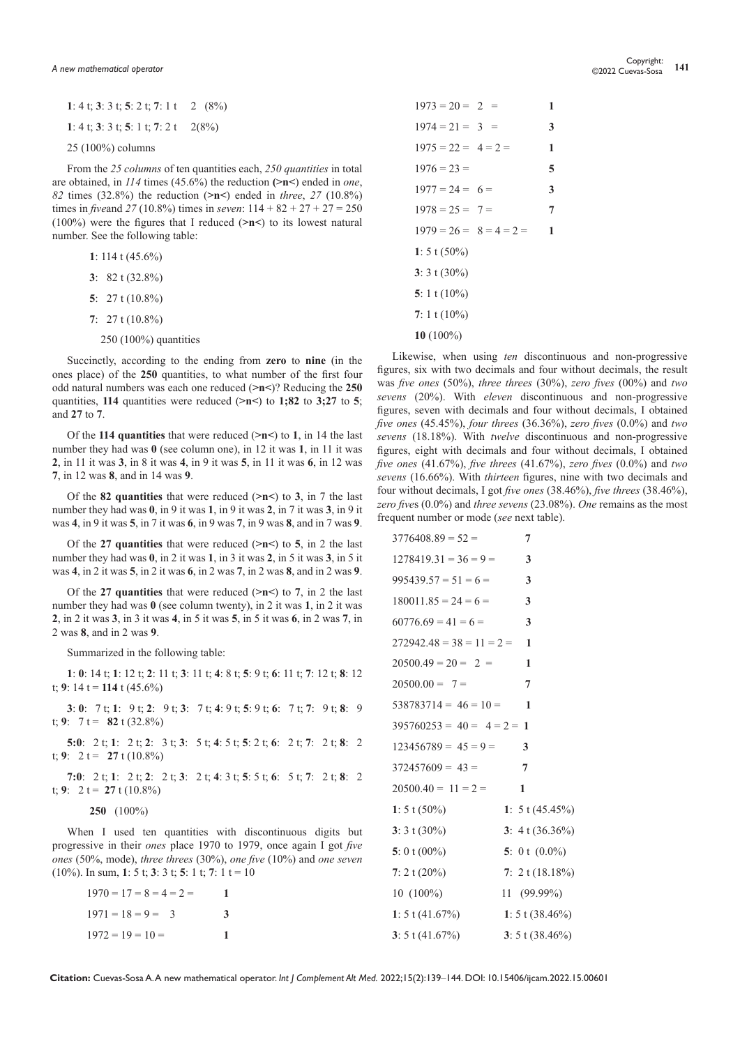| 1: 4 t; 3: 3 t; 5: 2 t; 7: 1 t 2 $(8\%)$ |  |
|------------------------------------------|--|
| 1: 4 t; 3: 3 t; 5: 1 t; 7: 2 t 2(8%)     |  |
| $25(100\%)$ columns                      |  |

From the *25 columns* of ten quantities each, *250 quantities* in total are obtained, in *114* times (45.6%) the reduction **(>n<**) ended in *one*, *82* times (32.8%) the reduction (**>n<**) ended in *three*, *27* (10.8%) times in *five*and *27* (10.8%) times in *seven*: 114 + 82 + 27 + 27 = 250 (100%) were the figures that I reduced (**>n<**) to its lowest natural number. See the following table:

**1**: 114 t (45.6%)

- **3**: 82 t (32.8%)
- **5**: 27 t (10.8%)
- **7**: 27 t (10.8%)
- 250 (100%) quantities

Succinctly, according to the ending from **zero** to **nine** (in the ones place) of the **250** quantities, to what number of the first four odd natural numbers was each one reduced (**>n<**)? Reducing the **250** quantities, **114** quantities were reduced (**>n<**) to **1;82** to **3;27** to **5**; and **27** to **7**.

Of the **114 quantities** that were reduced (**>n<**) to **1**, in 14 the last number they had was **0** (see column one), in 12 it was **1**, in 11 it was **2**, in 11 it was **3**, in 8 it was **4**, in 9 it was **5**, in 11 it was **6**, in 12 was **7**, in 12 was **8**, and in 14 was **9**.

Of the **82 quantities** that were reduced (**>n<**) to **3**, in 7 the last number they had was **0**, in 9 it was **1**, in 9 it was **2**, in 7 it was **3**, in 9 it was **4**, in 9 it was **5**, in 7 it was **6**, in 9 was **7**, in 9 was **8**, and in 7 was **9**.

Of the **27 quantities** that were reduced (**>n<**) to **5**, in 2 the last number they had was **0**, in 2 it was **1**, in 3 it was **2**, in 5 it was **3**, in 5 it was **4**, in 2 it was **5**, in 2 it was **6**, in 2 was **7**, in 2 was **8**, and in 2 was **9**.

Of the **27 quantities** that were reduced (**>n<**) to **7**, in 2 the last number they had was **0** (see column twenty), in 2 it was **1**, in 2 it was **2**, in 2 it was **3**, in 3 it was **4**, in 5 it was **5**, in 5 it was **6**, in 2 was **7**, in 2 was **8**, and in 2 was **9**.

Summarized in the following table:

**1**: **0**: 14 t; **1**: 12 t; **2**: 11 t; **3**: 11 t; **4**: 8 t; **5**: 9 t; **6**: 11 t; **7**: 12 t; **8**: 12 t; 9: 14 t =  $114$  t (45.6%)

**3**: **0**: 7 t; **1**: 9 t; **2**: 9 t; **3**: 7 t; **4**: 9 t; **5**: 9 t; **6**: 7 t; **7**: 9 t; **8**: 9 t; 9:  $7t = 82t (32.8%)$ 

**5:0**: 2 t; **1**: 2 t; **2**: 3 t; **3**: 5 t; **4**: 5 t; **5**: 2 t; **6**: 2 t; **7**: 2 t; **8**: 2 t; 9:  $2 t = 27 t (10.8\%)$ 

**7:0**: 2 t; **1**: 2 t; **2**: 2 t; **3**: 2 t; **4**: 3 t; **5**: 5 t; **6**: 5 t; **7**: 2 t; **8**: 2 t; 9: 2 t =  $27$  t (10.8%)

**250** (100%)

When I used ten quantities with discontinuous digits but progressive in their *ones* place 1970 to 1979, once again I got *five ones* (50%, mode), *three threes* (30%), *one five* (10%) and *one seven* (10%). In sum, **1**: 5 t; **3**: 3 t; **5**: 1 t; **7**: 1 t = 10

| $1970 = 17 = 8 = 4 = 2 =$ |   |
|---------------------------|---|
| $1971 = 18 = 9 = 3$       | 3 |
| $1972 = 19 = 10 =$        |   |

| $1973 = 20 = 2 =$         | 1 |
|---------------------------|---|
| $1974 = 21 = 3$           | 3 |
| $1975 = 22 = 4 = 2 =$     | 1 |
| $1976 = 23 =$             | 5 |
| $1977 = 24 = 6 =$         | 3 |
| $1978 = 25 = 7 =$         | 7 |
| $1979 = 26 = 8 = 4 = 2 =$ | 1 |
| 1: $5 \tbinom{50\%}{0}$   |   |
| 3: $3 \tbinom{30\%}{0}$   |   |
| 5: 1 t $(10\%)$           |   |
| 7: 1 t $(10\%)$           |   |
| 10 $(100\%)$              |   |
|                           |   |

Likewise, when using *ten* discontinuous and non-progressive figures, six with two decimals and four without decimals, the result was *five ones* (50%), *three threes* (30%), *zero fives* (00%) and *two sevens* (20%). With *eleven* discontinuous and non-progressive figures, seven with decimals and four without decimals, I obtained *five ones* (45.45%), *four threes* (36.36%), *zero fives* (0.0%) and *two sevens* (18.18%). With *twelve* discontinuous and non-progressive figures, eight with decimals and four without decimals, I obtained *five ones* (41.67%), *five threes* (41.67%), *zero fives* (0.0%) and *two sevens* (16.66%). With *thirteen* figures, nine with two decimals and four without decimals, I got *five ones* (38.46%), *five threes* (38.46%), *zero five*s (0.0%) and *three sevens* (23.08%). *One* remains as the most frequent number or mode (*see* next table).

| $3776408.89 = 52 =$          | 7                          |
|------------------------------|----------------------------|
| $1278419.31 = 36 = 9 =$      | 3                          |
| $995439.57 = 51 = 6 =$       | 3                          |
| $180011.85 = 24 = 6 =$       | 3                          |
| $60776.69 = 41 = 6 =$        | 3                          |
| $272942.48 = 38 = 11 = 2$    | 1                          |
| $20500.49 = 20 = 2$          | 1                          |
| $20500.00 = 7 =$             | 7                          |
| $538783714 = 46 = 10 =$      | 1                          |
| $395760253 = 40 = 4 = 2 = 1$ |                            |
| $123456789 = 45 = 9 =$       | 3                          |
| $372457609 = 43 =$           | 7                          |
| $20500.40 = 11 = 2 =$        | 1                          |
| 1: $5 \tbinom{50\%}{ }$      | 1: $5 \tbinom{45.45\%}{ }$ |
| 3: $3 \tbinom{30\%}{ }$      | 3: $4 \tbinom{36.36\%}{ }$ |
| 5: 0 t $(00\%)$              | 5: 0 t $(0.0\%)$           |
| 7: 2 t $(20\%)$              | 7: $2 \tbinom{18.18\%}{ }$ |
| 10 (100%)                    | 11 (99.99%)                |
| 1: $5 \tbinom{41.67\%}{ }$   | 1: $5 \tbinom{38.46}{6}$   |
| 3: $5 \tbinom{41.67\%}{ }$   | 3: 5 t $(38.46\%)$         |

**Citation:** Cuevas-Sosa A. A new mathematical operator. *Int J Complement Alt Med.* 2022;15(2):139‒144. DOI: [10.15406/ijcam.2022.15.00601](https://doi.org/10.15406/ijcam.2022.15.00601)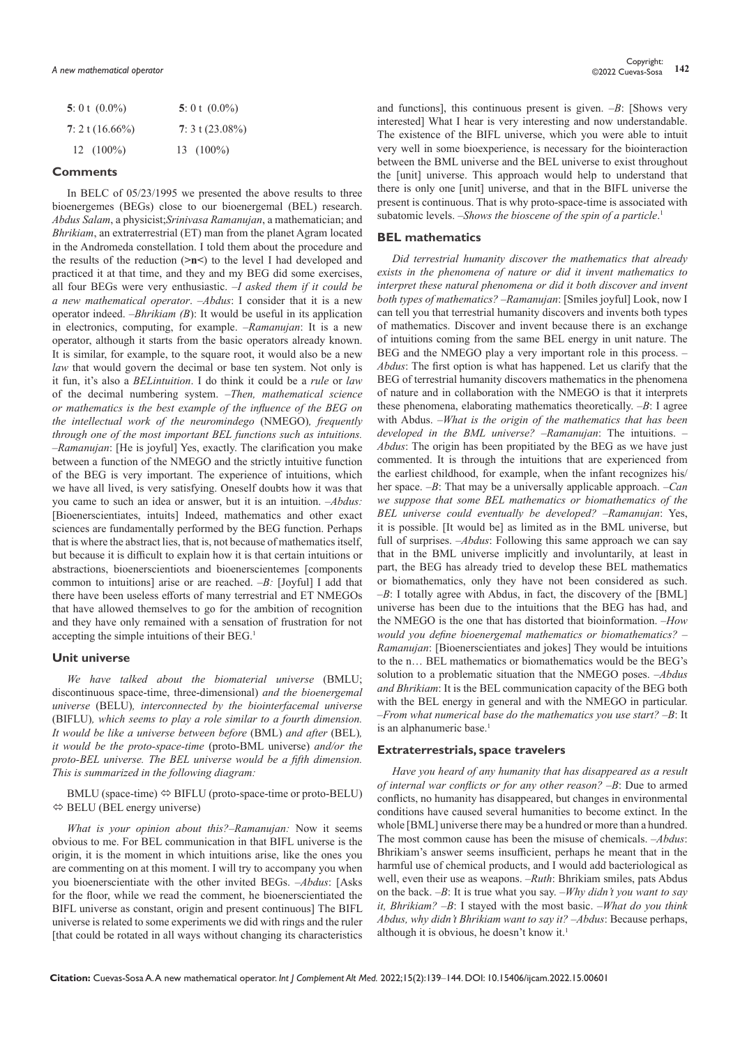| 5: 0 t $(0.0\%)$   | 5: 0 t $(0.0\%)$           |
|--------------------|----------------------------|
| 7: 2 t $(16.66\%)$ | 7: $3 \tbinom{23.08\%}{ }$ |
| $12(100\%)$        | $13(100\%)$                |

## **Comments**

In BELC of 05/23/1995 we presented the above results to three bioenergemes (BEGs) close to our bioenergemal (BEL) research. *Abdus Salam*, a physicist;*Srinivasa Ramanujan*, a mathematician; and *Bhrikiam*, an extraterrestrial (ET) man from the planet Agram located in the Andromeda constellation. I told them about the procedure and the results of the reduction (**>n<**) to the level I had developed and practiced it at that time, and they and my BEG did some exercises, all four BEGs were very enthusiastic. –*I asked them if it could be a new mathematical operator*. –*Abdus*: I consider that it is a new operator indeed. –*Bhrikiam (B*): It would be useful in its application in electronics, computing, for example. –*Ramanujan*: It is a new operator, although it starts from the basic operators already known. It is similar, for example, to the square root, it would also be a new *law* that would govern the decimal or base ten system. Not only is it fun, it's also a *BELintuition*. I do think it could be a *rule* or *law* of the decimal numbering system. –*Then, mathematical science or mathematics is the best example of the influence of the BEG on the intellectual work of the neuromindego* (NMEGO)*, frequently through one of the most important BEL functions such as intuitions.* –*Ramanujan*: [He is joyful] Yes, exactly. The clarification you make between a function of the NMEGO and the strictly intuitive function of the BEG is very important. The experience of intuitions, which we have all lived, is very satisfying. Oneself doubts how it was that you came to such an idea or answer, but it is an intuition. *–Abdus:*  [Bioenerscientiates, intuits] Indeed, mathematics and other exact sciences are fundamentally performed by the BEG function. Perhaps that is where the abstract lies, that is, not because of mathematics itself, but because it is difficult to explain how it is that certain intuitions or abstractions, bioenerscientiots and bioenerscientemes [components common to intuitions] arise or are reached. *–B:* [Joyful] I add that there have been useless efforts of many terrestrial and ET NMEGOs that have allowed themselves to go for the ambition of recognition and they have only remained with a sensation of frustration for not accepting the simple intuitions of their BEG.1

#### **Unit universe**

*We have talked about the biomaterial universe* (BMLU; discontinuous space-time, three-dimensional) *and the bioenergemal universe* (BELU)*, interconnected by the biointerfacemal universe*  (BIFLU)*, which seems to play a role similar to a fourth dimension. It would be like a universe between before* (BML) *and after* (BEL)*, it would be the proto-space-time* (proto-BML universe) *and/or the proto-BEL universe. The BEL universe would be a fifth dimension. This is summarized in the following diagram:* 

 $BMLU$  (space-time)  $\Leftrightarrow BIFLU$  (proto-space-time or proto-BELU)  $\Leftrightarrow$  BELU (BEL energy universe)

*What is your opinion about this?–Ramanujan:* Now it seems obvious to me. For BEL communication in that BIFL universe is the origin, it is the moment in which intuitions arise, like the ones you are commenting on at this moment. I will try to accompany you when you bioenerscientiate with the other invited BEGs. –*Abdus*: [Asks for the floor, while we read the comment, he bioenerscientiated the BIFL universe as constant, origin and present continuous] The BIFL universe is related to some experiments we did with rings and the ruler [that could be rotated in all ways without changing its characteristics

and functions], this continuous present is given. –*B*: [Shows very interested] What I hear is very interesting and now understandable. The existence of the BIFL universe, which you were able to intuit very well in some bioexperience, is necessary for the biointeraction between the BML universe and the BEL universe to exist throughout the [unit] universe. This approach would help to understand that there is only one [unit] universe, and that in the BIFL universe the present is continuous. That is why proto-space-time is associated with subatomic levels. –*Shows the bioscene of the spin of a particle*. 1

## **BEL mathematics**

*Did terrestrial humanity discover the mathematics that already exists in the phenomena of nature or did it invent mathematics to interpret these natural phenomena or did it both discover and invent both types of mathematics?* –*Ramanujan*: [Smiles joyful] Look, now I can tell you that terrestrial humanity discovers and invents both types of mathematics. Discover and invent because there is an exchange of intuitions coming from the same BEL energy in unit nature. The BEG and the NMEGO play a very important role in this process. – *Abdus*: The first option is what has happened. Let us clarify that the BEG of terrestrial humanity discovers mathematics in the phenomena of nature and in collaboration with the NMEGO is that it interprets these phenomena, elaborating mathematics theoretically. –*B*: I agree with Abdus. –*What is the origin of the mathematics that has been developed in the BML universe?* –*Ramanujan*: The intuitions. – *Abdus*: The origin has been propitiated by the BEG as we have just commented. It is through the intuitions that are experienced from the earliest childhood, for example, when the infant recognizes his/ her space. –*B*: That may be a universally applicable approach. –*Can we suppose that some BEL mathematics or biomathematics of the BEL universe could eventually be developed?* –*Ramanujan*: Yes, it is possible. [It would be] as limited as in the BML universe, but full of surprises. –*Abdus*: Following this same approach we can say that in the BML universe implicitly and involuntarily, at least in part, the BEG has already tried to develop these BEL mathematics or biomathematics, only they have not been considered as such. –*B*: I totally agree with Abdus, in fact, the discovery of the [BML] universe has been due to the intuitions that the BEG has had, and the NMEGO is the one that has distorted that bioinformation. –*How would you define bioenergemal mathematics or biomathematics?* – *Ramanujan*: [Bioenerscientiates and jokes] They would be intuitions to the n… BEL mathematics or biomathematics would be the BEG's solution to a problematic situation that the NMEGO poses. –*Abdus and Bhrikiam*: It is the BEL communication capacity of the BEG both with the BEL energy in general and with the NMEGO in particular. *–From what numerical base do the mathematics you use start?* –*B*: It is an alphanumeric base.<sup>1</sup>

#### **Extraterrestrials, space travelers**

*Have you heard of any humanity that has disappeared as a result of internal war conflicts or for any other reason?* –*B*: Due to armed conflicts, no humanity has disappeared, but changes in environmental conditions have caused several humanities to become extinct. In the whole [BML] universe there may be a hundred or more than a hundred. The most common cause has been the misuse of chemicals. –*Abdus*: Bhrikiam's answer seems insufficient, perhaps he meant that in the harmful use of chemical products, and I would add bacteriological as well, even their use as weapons. –*Ruth*: Bhrikiam smiles, pats Abdus on the back. –*B*: It is true what you say. –*Why didn't you want to say it, Bhrikiam?* –*B*: I stayed with the most basic. –*What do you think Abdus, why didn't Bhrikiam want to say it?* –*Abdus*: Because perhaps, although it is obvious, he doesn't know it.1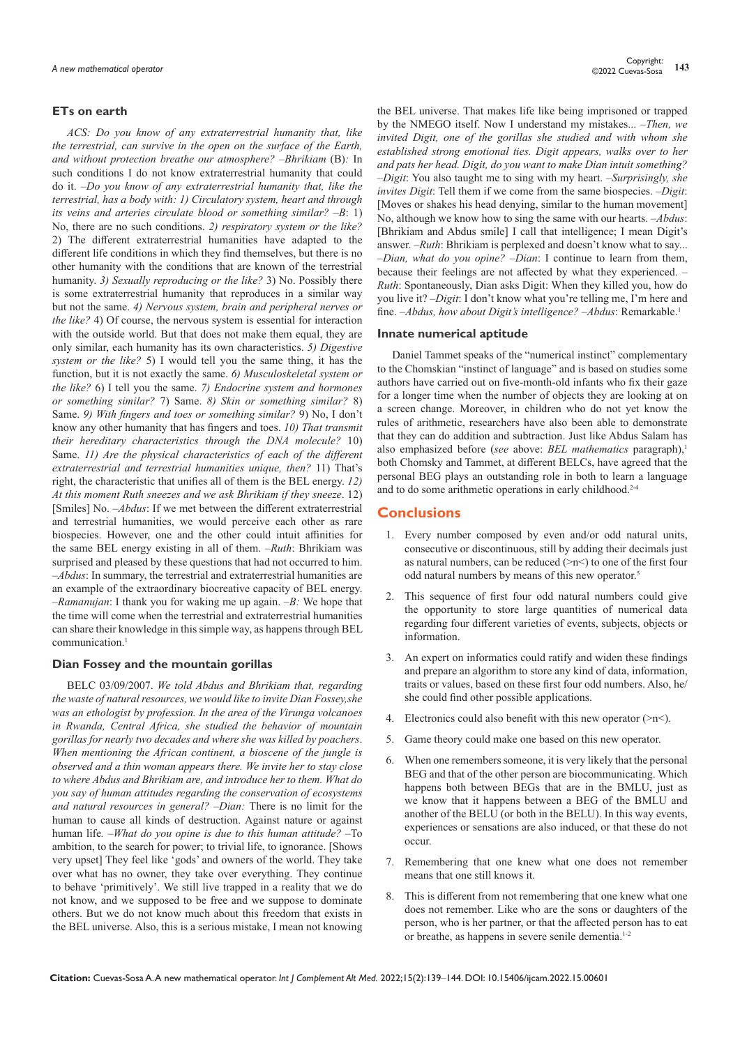## **ETs on earth**

*ACS: Do you know of any extraterrestrial humanity that, like the terrestrial, can survive in the open on the surface of the Earth, and without protection breathe our atmosphere? –Bhrikiam* (B)*:* In such conditions I do not know extraterrestrial humanity that could do it. –*Do you know of any extraterrestrial humanity that, like the terrestrial, has a body with: 1) Circulatory system, heart and through its veins and arteries circulate blood or something similar? –B*: 1) No, there are no such conditions. *2) respiratory system or the like?*  2) The different extraterrestrial humanities have adapted to the different life conditions in which they find themselves, but there is no other humanity with the conditions that are known of the terrestrial humanity. *3) Sexually reproducing or the like?* 3) No. Possibly there is some extraterrestrial humanity that reproduces in a similar way but not the same. *4) Nervous system, brain and peripheral nerves or the like?* 4) Of course, the nervous system is essential for interaction with the outside world. But that does not make them equal, they are only similar, each humanity has its own characteristics. *5) Digestive system or the like?* 5) I would tell you the same thing, it has the function, but it is not exactly the same. *6) Musculoskeletal system or the like?* 6) I tell you the same. *7) Endocrine system and hormones or something similar?* 7) Same. *8) Skin or something similar?* 8) Same. *9) With fingers and toes or something similar?* 9) No, I don't know any other humanity that has fingers and toes. *10) That transmit their hereditary characteristics through the DNA molecule?* 10) Same. *11) Are the physical characteristics of each of the different extraterrestrial and terrestrial humanities unique, then?* 11) That's right, the characteristic that unifies all of them is the BEL energy. *12) At this moment Ruth sneezes and we ask Bhrikiam if they sneeze*. 12) [Smiles] No. –*Abdus*: If we met between the different extraterrestrial and terrestrial humanities, we would perceive each other as rare biospecies. However, one and the other could intuit affinities for the same BEL energy existing in all of them. –*Ruth*: Bhrikiam was surprised and pleased by these questions that had not occurred to him. –*Abdus*: In summary, the terrestrial and extraterrestrial humanities are an example of the extraordinary biocreative capacity of BEL energy. –*Ramanujan*: I thank you for waking me up again. *–B:* We hope that the time will come when the terrestrial and extraterrestrial humanities can share their knowledge in this simple way, as happens through BEL communication.<sup>1</sup>

#### **Dian Fossey and the mountain gorillas**

BELC 03/09/2007. *We told Abdus and Bhrikiam that, regarding the waste of natural resources, we would like to invite Dian Fossey,she was an ethologist by profession. In the area of the Virunga volcanoes in Rwanda, Central Africa, she studied the behavior of mountain gorillas for nearly two decades and where she was killed by poachers*. *When mentioning the African continent, a bioscene of the jungle is observed and a thin woman appears there. We invite her to stay close to where Abdus and Bhrikiam are, and introduce her to them. What do you say of human attitudes regarding the conservation of ecosystems and natural resources in general? –Dian:* There is no limit for the human to cause all kinds of destruction. Against nature or against human life*. –What do you opine is due to this human attitude? –*To ambition, to the search for power; to trivial life, to ignorance. [Shows very upset] They feel like 'gods' and owners of the world. They take over what has no owner, they take over everything. They continue to behave 'primitively'. We still live trapped in a reality that we do not know, and we supposed to be free and we suppose to dominate others. But we do not know much about this freedom that exists in the BEL universe. Also, this is a serious mistake, I mean not knowing

the BEL universe. That makes life like being imprisoned or trapped by the NMEGO itself. Now I understand my mistakes... –*Then, we invited Digit, one of the gorillas she studied and with whom she established strong emotional ties. Digit appears, walks over to her and pats her head. Digit, do you want to make Dian intuit something?* –*Digit*: You also taught me to sing with my heart. –*Surprisingly, she invites Digit*: Tell them if we come from the same biospecies. –*Digit*: [Moves or shakes his head denying, similar to the human movement] No, although we know how to sing the same with our hearts. –*Abdus*: [Bhrikiam and Abdus smile] I call that intelligence; I mean Digit's answer. –*Ruth*: Bhrikiam is perplexed and doesn't know what to say... –*Dian, what do you opine?* –*Dian*: I continue to learn from them, because their feelings are not affected by what they experienced. – *Ruth*: Spontaneously, Dian asks Digit: When they killed you, how do you live it? –*Digit*: I don't know what you're telling me, I'm here and fine. –*Abdus, how about Digit's intelligence?* –*Abdus*: Remarkable.1

#### **Innate numerical aptitude**

Daniel Tammet speaks of the "numerical instinct" complementary to the Chomskian "instinct of language" and is based on studies some authors have carried out on five-month-old infants who fix their gaze for a longer time when the number of objects they are looking at on a screen change. Moreover, in children who do not yet know the rules of arithmetic, researchers have also been able to demonstrate that they can do addition and subtraction. Just like Abdus Salam has also emphasized before (*see* above: *BEL mathematics* paragraph),<sup>1</sup> both Chomsky and Tammet, at different BELCs, have agreed that the personal BEG plays an outstanding role in both to learn a language and to do some arithmetic operations in early childhood.<sup>2-4</sup>

# **Conclusions**

- 1. Every number composed by even and/or odd natural units, consecutive or discontinuous, still by adding their decimals just as natural numbers, can be reduced  $(\geq n \leq)$  to one of the first four odd natural numbers by means of this new operator.<sup>5</sup>
- 2. This sequence of first four odd natural numbers could give the opportunity to store large quantities of numerical data regarding four different varieties of events, subjects, objects or information.
- 3. An expert on informatics could ratify and widen these findings and prepare an algorithm to store any kind of data, information, traits or values, based on these first four odd numbers. Also, he/ she could find other possible applications.
- 4. Electronics could also benefit with this new operator  $(\geq n \leq)$ .
- 5. Game theory could make one based on this new operator.
- 6. When one remembers someone, it is very likely that the personal BEG and that of the other person are biocommunicating. Which happens both between BEGs that are in the BMLU, just as we know that it happens between a BEG of the BMLU and another of the BELU (or both in the BELU). In this way events, experiences or sensations are also induced, or that these do not occur.
- 7. Remembering that one knew what one does not remember means that one still knows it.
- This is different from not remembering that one knew what one does not remember. Like who are the sons or daughters of the person, who is her partner, or that the affected person has to eat or breathe, as happens in severe senile dementia.1-2